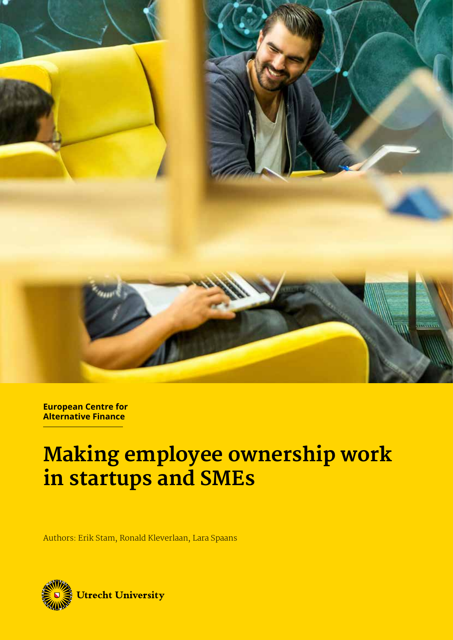

**European Centre for Alternative Finance**

## **Making employee ownership work in startups and SMEs**

Authors: Erik Stam, Ronald Kleverlaan, Lara Spaans

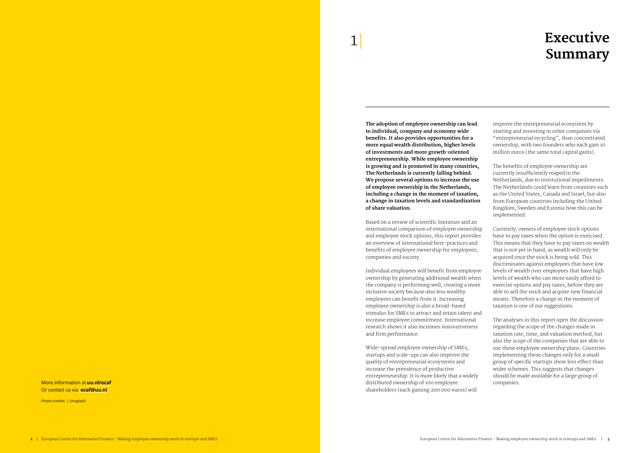**The adoption of employee ownership can lead to individual, company and economy wide benefits. It also provides opportunities for a more equal wealth distribution, higher levels of investments and more growth-oriented entrepreneurship. While employee ownership is growing and is promoted in many countries, The Netherlands is currently falling behind. We propose several options to increase the use of employee ownership in the Netherlands, including a change in the moment of taxation, a change in taxation levels and standardization of share valuation.**

Based on a review of scientific literature and an international comparison of employee ownership and employee stock options, this report provides an overview of international best-practices and benefits of employee ownership for employees, companies and society.

Individual employees will benefit from employee ownership by generating additional wealth when the company is performing well, creating a more inclusive society because also less wealthy employees can benefit from it. Increasing employee ownership is also a broad-based stimulus for SMEs to attract and retain talent and increase employee commitment. International research shows it also increases innovativeness and firm performance.

Wide-spread employee ownership of SMEs, startups and scale-ups can also improve the quality of entrepreneurial ecosystems and increase the prevalence of productive entrepreneurship. It is more likely that a widely distributed ownership of 100 employee shareholders (each gaining 200 000 euros) will

improve the entrepreneurial ecosystem by starting and investing in other companies via "entrepreneurial recycling", than concentrated ownership, with two founders who each gain 10 million euros (the same total capital gains).

The benefits of employee ownership are currently insufficiently reaped in the Netherlands, due to institutional impediments. The Netherlands could learn from countries such as the United States, Canada and Israel, but also from European countries including the United Kingdom, Sweden and Estonia how this can be implemented.

Currently, owners of employee stock options have to pay taxes when the option is exercised. This means that they have to pay taxes on wealth that is not yet in hand, as wealth will only be acquired once the stock is being sold. This discriminates against employees that have low levels of wealth over employees that have high levels of wealth who can more easily afford to exercise options and pay taxes, before they are able to sell the stock and acquire new financial means. Therefore a change in the moment of taxation is one of our suggestions.

The analyses in this report open the discussion regarding the scope of the changes made in taxation rate, time, and valuation method, but also the scope of the companies that are able to use these employee ownership plans. Countries implementing these changes only for a small group of specific startups show less effect than wider schemes. This suggests that changes should be made available for a large group of companies.

## **Executive Summary**

More information at **uu.nl/ecaf** Or contact us via **ecaf@uu.nl**

Photo credits: | Unsplash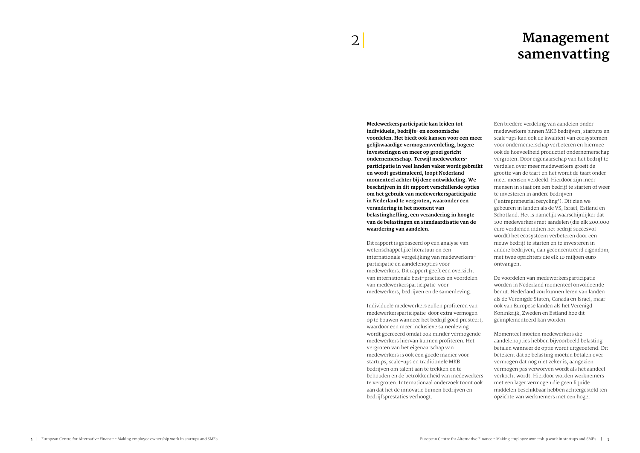### **Management samenvatting**

**Medewerkersparticipatie kan leiden tot individuele, bedrijfs- en economische voordelen. Het biedt ook kansen voor een meer gelijkwaardige vermogensverdeling, hogere investeringen en meer op groei gericht ondernemerschap. Terwijl medewerkersparticipatie in veel landen vaker wordt gebruikt en wordt gestimuleerd, loopt Nederland momenteel achter bij deze ontwikkeling. We beschrijven in dit rapport verschillende opties om het gebruik van medewerkersparticipatie in Nederland te vergroten, waaronder een verandering in het moment van belastingheffing, een verandering in hoogte van de belastingen en standaardisatie van de waardering van aandelen.**

Dit rapport is gebaseerd op een analyse van wetenschappelijke literatuur en een internationale vergelijking van medewerkersparticipatie en aandelenopties voor medewerkers. Dit rapport geeft een overzicht van internationale best-practices en voordelen van medewerkersparticipatie voor medewerkers, bedrijven en de samenleving.

Individuele medewerkers zullen profiteren van medewerkersparticipatie door extra vermogen op te bouwen wanneer het bedrijf goed presteert, waardoor een meer inclusieve samenleving wordt gecreëerd omdat ook minder vermogende medewerkers hiervan kunnen profiteren. Het vergroten van het eigenaarschap van medewerkers is ook een goede manier voor startups, scale-ups en traditionele MKB bedrijven om talent aan te trekken en te behouden en de betrokkenheid van medewerkers te vergroten. Internationaal onderzoek toont ook aan dat het de innovatie binnen bedrijven en bedrijfsprestaties verhoogt.

Een bredere verdeling van aandelen onder medewerkers binnen MKB bedrijven, startups en scale-ups kan ook de kwaliteit van ecosystemen voor ondernemerschap verbeteren en hiermee ook de hoeveelheid productief ondernemerschap vergroten. Door eigenaarschap van het bedrijf te verdelen over meer medewerkers groeit de grootte van de taart en het wordt de taart onder meer mensen verdeeld. Hierdoor zijn meer mensen in staat om een bedrijf te starten of weer te investeren in andere bedrijven ('entrepreneurial recycling'). Dit zien we gebeuren in landen als de VS, Israël, Estland en Schotland. Het is namelijk waarschijnlijker dat 100 medewerkers met aandelen (die elk 200.000 euro verdienen indien het bedrijf succesvol wordt) het ecosysteem verbeteren door een nieuw bedrijf te starten en te investeren in andere bedrijven, dan geconcentreerd eigendom, met twee oprichters die elk 10 miljoen euro ontvangen.

De voordelen van medewerkersparticipatie worden in Nederland momenteel onvoldoende benut. Nederland zou kunnen leren van landen als de Verenigde Staten, Canada en Israël, maar ook van Europese landen als het Verenigd Koninkrijk, Zweden en Estland hoe dit geïmplementeerd kan worden.

Momenteel moeten medewerkers die aandelenopties hebben bijvoorbeeld belasting betalen wanneer de optie wordt uitgeoefend. Dit betekent dat ze belasting moeten betalen over vermogen dat nog niet zeker is, aangezien vermogen pas verworven wordt als het aandeel verkocht wordt. Hierdoor worden werknemers met een lager vermogen die geen liquide middelen beschikbaar hebben achtergesteld ten opzichte van werknemers met een hoger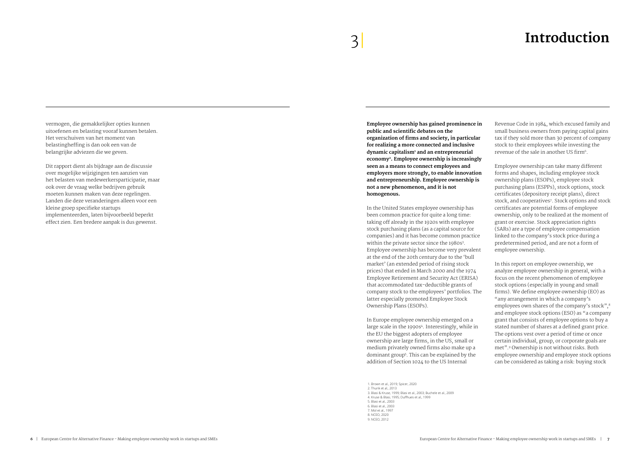## 3| **Introduction**

**Employee ownership has gained prominence in public and scientific debates on the organization of firms and society, in particular for realizing a more connected and inclusive dynamic capitalism1 and an entrepreneurial economy2. Employee ownership is increasingly seen as a means to connect employees and employers more strongly, to enable innovation and entrepreneurship. Employee ownership is not a new phenomenon, and it is not homogenous.** 

In the United States employee ownership has been common practice for quite a long time: taking off already in the 1920s with employee stock purchasing plans (as a capital source for companies) and it has become common practice within the private sector since the 1980s<sup>3</sup>. Employee ownership has become very prevalent at the end of the 20th century due to the 'bull market' (an extended period of rising stock prices) that ended in March 2000 and the 1974 Employee Retirement and Security Act (ERISA) that accommodated tax-deductible grants of company stock to the employees' portfolios. The latter especially promoted Employee Stock Ownership Plans (ESOPs).

In Europe employee ownership emerged on a large scale in the 1990s4. Interestingly, while in the EU the biggest adopters of employee ownership are large firms, in the US, small or medium privately owned firms also make up a dominant group5 . This can be explained by the addition of Section 1024 to the US Internal

Revenue Code in 1984, which excused family and small business owners from paying capital gains tax if they sold more than 30 percent of company stock to their employees while investing the revenue of the sale in another US firm6.

Employee ownership can take many different forms and shapes, including employee stock ownership plans (ESOPs), employee stock purchasing plans (ESPPs), stock options, stock certificates (depository receipt plans), direct stock, and cooperatives<sup>7</sup>. Stock options and stock certificates are potential forms of employee ownership, only to be realized at the moment of grant or exercise. Stock appreciation rights (SARs) are a type of employee compensation linked to the company's stock price during a predetermined period, and are not a form of employee ownership.

In this report on employee ownership, we analyze employee ownership in general, with a focus on the recent phenomenon of employee stock options (especially in young and small firms). We define employee ownership (EO) as "any arrangement in which a company's employees own shares of the company's stock", 8 and employee stock options (ESO) as "a company grant that consists of employee options to buy a stated number of shares at a defined grant price. The options vest over a period of time or once certain individual, group, or corporate goals are met".<sup>9</sup> Ownership is not without risks. Both employee ownership and employee stock options can be considered as taking a risk: buying stock

1. Brown et al., 2019; Spicer, 2020 2. Thurik et al., 2013 3. Blasi & Kruse, 1999; Blasi et al., 2003; Buchele et al., 2009 4. Kruse & Blasi, 1995; Duffhues et al., 1999 5. Blasi et al., 2003 6. Blasi et al., 2003 7. Mol et al., 1997 8. NCEO, 2020 9. NCEO, 2012

vermogen, die gemakkelijker opties kunnen uitoefenen en belasting vooraf kunnen betalen. Het verschuiven van het moment van belastingheffing is dan ook een van de belangrijke adviezen die we geven.

Dit rapport dient als bijdrage aan de discussie over mogelijke wijzigingen ten aanzien van het belasten van medewerkersparticipatie, maar ook over de vraag welke bedrijven gebruik moeten kunnen maken van deze regelingen. Landen die deze veranderingen alleen voor een kleine groep specifieke startups implementeerden, laten bijvoorbeeld beperkt effect zien. Een bredere aanpak is dus gewenst.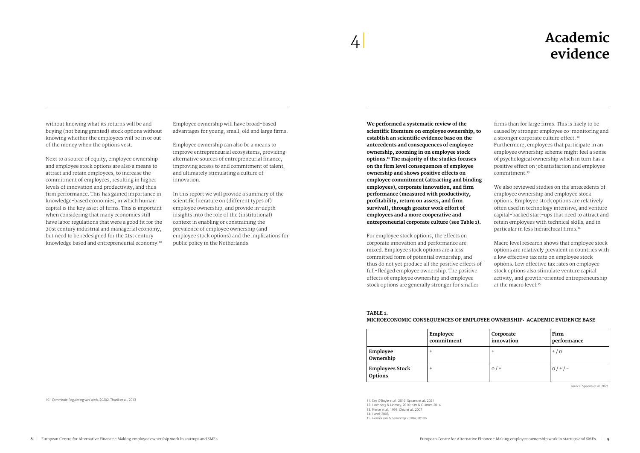without knowing what its returns will be and buying (not being granted) stock options without knowing whether the employees will be in or out of the money when the options vest.

Next to a source of equity, employee ownership and employee stock options are also a means to attract and retain employees, to increase the commitment of employees, resulting in higher levels of innovation and productivity, and thus firm performance. This has gained importance in knowledge-based economies, in which human capital is the key asset of firms. This is important when considering that many economies still have labor regulations that were a good fit for the 20st century industrial and managerial economy, but need to be redesigned for the 21st century knowledge based and entrepreneurial economy.10

Employee ownership will have broad-based advantages for young, small, old and large firms.

Employee ownership can also be a means to improve entrepreneurial ecosystems, providing alternative sources of entrepreneurial finance, improving access to and commitment of talent, and ultimately stimulating a culture of innovation.

In this report we will provide a summary of the scientific literature on (different types of) employee ownership, and provide in-depth insights into the role of the (institutional) context in enabling or constraining the prevalence of employee ownership (and employee stock options) and the implications for public policy in the Netherlands.

We also reviewed studies on the antecedents of employee ownership and employee stock options. Employee stock options are relatively often used in technology intensive, and venture capital-backed start-ups that need to attract and retain employees with technical skills, and in particular in less hierarchical firms.<sup>14</sup>

## **Academic evidence**

Macro level research shows that employee stock options are relatively prevalent in countries with a low effective tax rate on employee stock options. Low effective tax rates on employee stock options also stimulate venture capital activity, and growth-oriented entrepreneurship at the macro level.<sup>15</sup>

**We performed a systematic review of the scientific literature on employee ownership, to establish an scientific evidence base on the antecedents and consequences of employee ownership, zooming in on employee stock options.11 The majority of the studies focuses on the firm level consequences of employee ownership and shows positive effects on employee commitment (attracting and binding employees), corporate innovation, and firm performance (measured with productivity, profitability, return on assets, and firm survival), through greater work effort of employees and a more cooperative and entrepreneurial corporate culture (see Table 1).** 

For employee stock options, the effects on corporate innovation and performance are mixed. Employee stock options are a less committed form of potential ownership, and thus do not yet produce all the positive effects of full-fledged employee ownership. The positive effects of employee ownership and employee stock options are generally stronger for smaller

firms than for large firms. This is likely to be caused by stronger employee co-monitoring and a stronger corporate culture effect.<sup>12</sup> Furthermore, employees that participate in an employee ownership scheme might feel a sense of psychological ownership which in turn has a positive effect on jobsatisfaction and employee commitment.13

|                                   | Employee<br>commitment | Corporate<br>innovation | Firm<br>performance |
|-----------------------------------|------------------------|-------------------------|---------------------|
| Employee<br>Ownership             |                        | $\pm$                   | $+ / 0$             |
| <b>Employees Stock</b><br>Options |                        | $0/$ +                  | $0/+/-$             |

### **Table 1.**

### **Microeconomic consequences of employee ownership: academic evidence base**

11. See O'Boyle et al., 2016; Spaans et al., 2021

12. Hochberg & Lindsey, 2010; Kim & Ouimet, 2014

13. Pierce et al., 1991; Chiu et al., 2007

14. Hand, 2008

15. Henrekson & Sanandaji 2018a; 2018b

10. Commissie Regulering van Werk, 20202. Thurik et al., 2013

source: Spaans et al. 2021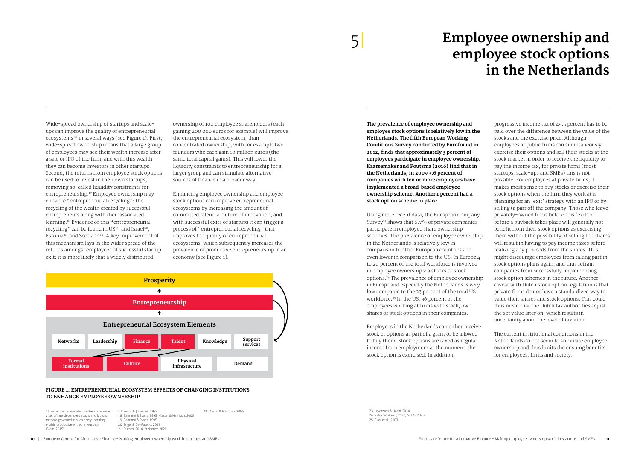Wide-spread ownership of startups and scaleups can improve the quality of entrepreneurial ecosystems 16 in several ways (see Figure 1). First, wide-spread ownership means that a large group of employees may see their wealth increase after a sale or IPO of the firm, and with this wealth they can become investors in other startups. Second, the returns from employee stock options can be used to invest in their own startups, removing so-called liquidity constraints for entrepreneurship.<sup>17</sup> Employee ownership may enhance "entrepreneurial recycling": the recycling of the wealth created by successful entrepreneurs along with their associated learning.<sup>18</sup> Evidence of this "entrepreneurial recycling" can be found in US<sup>19</sup>, and Israel<sup>20</sup>, Estonia<sup>21</sup>, and Scotland<sup>22</sup>. A key improvement of this mechanism lays in the wider spread of the returns amongst employees of successful startup exit: it is more likely that a widely distributed

ownership of 100 employee shareholders (each gaining 200 000 euros for example) will improve the entrepreneurial ecosystem, than concentrated ownership, with for example two founders who each gain 10 million euros (the same total capital gains). This will lower the liquidity constraints to entrepreneurship for a larger group and can stimulate alternative sources of finance in a broader way.

Enhancing employee ownership and employee stock options can improve entrepreneurial ecosystems by increasing the amount of committed talent, a culture of innovation, and with successful exits of startups it can trigger a process of "entrepreneurial recycling" that improves the quality of entrepreneurial ecosystems, which subsequently increases the prevalence of productive entrepreneurship in an economy (see Figure 1).

## **Employee ownership and employee stock options in the Netherlands**

# 5|

**The prevalence of employee ownership and employee stock options is relatively low in the Netherlands. The fifth European Working Conditions Survey conducted by Eurofound in 2012, finds that approximately 3 percent of employees participate in employee ownership. Kaarsemaker and Poutsma (2016) find that in the Netherlands, in 2009 3.6 percent of companies with ten or more employees have implemented a broad-based employee ownership scheme. Another 1 percent had a stock option scheme in place.** 

Using more recent data, the European Company Survey<sup>23</sup> shows that  $6.7\%$  of private companies participate in employee share ownership schemes. The prevalence of employee ownership in the Netherlands is relatively low in comparison to other European countries and even lower in comparison to the US. In Europe 4 to 20 percent of the total workforce is involved in employee ownership via stocks or stock options.<sup>24</sup> The prevalence of employee ownership in Europe and especially the Netherlands is very low compared to the 23 percent of the total US workforce.<sup>25</sup> In the US, 36 percent of the employees working at firms with stock, own shares or stock options in their companies.

Employees in the Netherlands can either receive stock or options as part of a grant or be allowed to buy them. Stock options are taxed as regular income from employment at the moment the stock option is exercised. In addition,

progressive income tax of 49.5 percent has to be paid over the difference between the value of the stocks and the exercise price. Although employees at public firms can simultaneously exercise their options and sell their stocks at the stock market in order to receive the liquidity to pay the income tax, for private firms (most startups, scale-ups and SMEs) this is not possible. For employees at private firms, it makes most sense to buy stocks or exercise their stock options when the firm they work at is planning for an 'exit' strategy with an IPO or by selling (a part of) the company. Those who leave privately-owned firms before this 'exit' or before a buyback takes place will generally not benefit from their stock options as exercising them without the possibility of selling the shares will result in having to pay income taxes before realizing any proceeds from the shares. This might discourage employees from taking part in stock options plans again, and thus refrain companies from successfully implementing stock option schemes in the future. Another caveat with Dutch stock option regulation is that private firms do not have a standardized way to value their shares and stock options. This could thus mean that the Dutch tax authorities adjust the set value later on, which results in uncertainty about the level of taxation.

The current institutional conditions in the Netherlands do not seem to stimulate employee ownership and thus limits the ensuing benefits for employees, firms and society.

#### **Figure 1. Entrepreneurial ecosystem effects of changing institutions to enhance employee ownership**



**Table 2** 16. An entrepreneurial ecosystem comprises a set of interdependent actors and factors that are governed in such a way that they enable productive entrepreneurship (Stam, 2015).

17. Evans & Jovanovic 1989 18. Bahrami & Evans, 1995; Mason & Harrison, 2006 19. Bahrami & Evans, 1995 20. Engel & Del-Palacio, 2011 21. Dumas, 2014; Prohorov, 2020

22. Mason & Harrison, 2006 23. Lowitzsch & Hashi, 2014 24. Index Ventures, 2020; NCEO, 2020 25. Blasi et al., 2003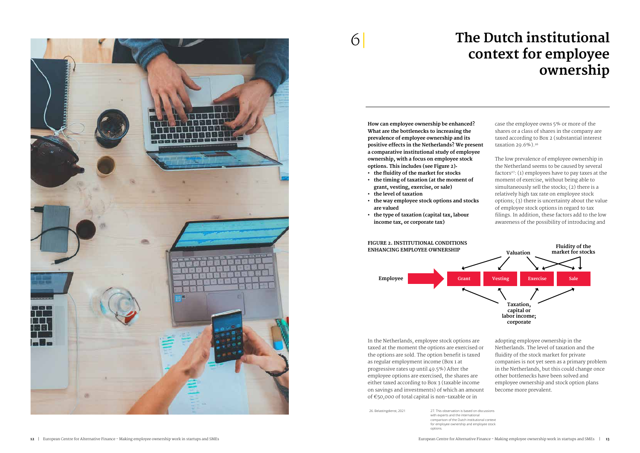**How can employee ownership be enhanced? What are the bottlenecks to increasing the prevalence of employee ownership and its positive effects in the Netherlands? We present a comparative institutional study of employee ownership, with a focus on employee stock options. This includes (see Figure 2):** 

- **• the fluidity of the market for stocks**
- **• the timing of taxation (at the moment of grant, vesting, exercise, or sale)**
- **• the level of taxation**
- **• the way employee stock options and stocks are valued**
- **• the type of taxation (capital tax, labour income tax, or corporate tax)**

In the Netherlands, employee stock options are taxed at the moment the options are exercised or the options are sold. The option benefit is taxed as regular employment income (Box 1 at progressive rates up until 49.5%) After the employee options are exercised, the shares are either taxed according to Box 3 (taxable income on savings and investments) of which an amount of €50,000 of total capital is non-taxable or in

case the employee owns 5% or more of the shares or a class of shares in the company are taxed according to Box 2 (substantial interest taxation 29.6%).<sup>26</sup>

The low prevalence of employee ownership in the Netherland seems to be caused by several factors<sup>27</sup>: (1) employees have to pay taxes at the moment of exercise, without being able to simultaneously sell the stocks; (2) there is a relatively high tax rate on employee stock options; (3) there is uncertainty about the value of employee stock options in regard to tax filings. In addition, these factors add to the low awareness of the possibility of introducing and

adopting employee ownership in the Netherlands. The level of taxation and the fluidity of the stock market for private companies is not yet seen as a primary problem in the Netherlands, but this could change once other bottlenecks have been solved and employee ownership and stock option plans become more prevalent.

## **The Dutch institutional context for employee ownership**



## 6|



### **Figure 2. Institutional conditions enhancing employee ownership**

26. Belastingdienst, 2021 27. This observation is based on discussions with experts and the international comparison of the Dutch institutional context for employee ownership and employee stock options.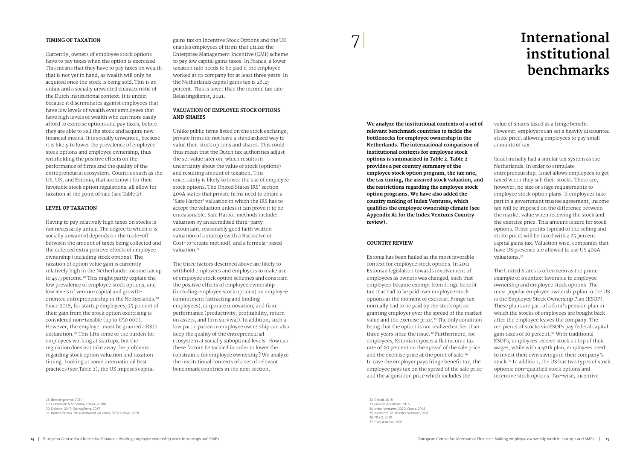## **International institutional benchmarks**

**We analyze the institutional contexts of a set of relevant benchmark countries to tackle the bottlenecks for employee ownership in the Netherlands. The international comparison of institutional contexts for employee stock options is summarized in Table 2. Table 2 provides a per country summary of the employee stock option program, the tax rate, the tax timing, the assured stock valuation, and the restrictions regarding the employee stock option programs. We have also added the country ranking of Index Ventures, which qualifies the employee ownership climate (see Appendix A1 for the Index Ventures Country review).** 

#### **Country review**

Estonia has been hailed as the most favorable context for employee stock options. In 2011 Estonian legislation towards involvement of employees as owners was changed, such that employers became exempt from fringe benefit tax that had to be paid over employee stock options at the moment of exercise. Fringe tax normally had to be paid by the stock option granting employer over the spread of the market value and the exercise price.33 The only condition being that the option is not realized earlier than three years since the issue.32 Furthermore, for employees, Estonia imposes a flat income tax rate of 20 percent on the spread of the sale price and the exercise price at the point of sale.<sup>34</sup> In case the employer pays fringe benefit tax, the employee pays tax on the spread of the sale price and the acquisition price which includes the

value of shares taxed as a fringe benefit. However, employers can set a heavily discounted strike price, allowing employees to pay small amounts of tax.

Israel initially had a similar tax system as the Netherlands. In order to stimulate entrepreneurship, Israel allows employees to get taxed when they sell their stocks. There are, however, no size or stage requirements to employee stock option plans. If employees take part in a government trustee agreement, income tax will be imposed on the difference between the market value when receiving the stock and the exercise price. This amount is zero for stock options. Other profits (spread of the selling and strike price) will be taxed with a 25 percent capital gains tax. Valuation wise, companies that have US presence are allowed to use US 409A valuations.35

Unlike public firms listed on the stock exchange, private firms do not have a standardized way to value their stock options and shares. This could thus mean that the Dutch tax authorities adjust the set value later on, which results in uncertainty about the value of stock (options) and resulting amount of taxation. This uncertainty is likely to lower the use of employee stock options. The United States IRS' section 409A states that private firms need to obtain a 'Safe Harbor' valuation in which the IRS has to accept the valuation unless it can prove it to be unreasonable. Safe Harbor methods include: valuation by an accredited third-party accountant, reasonably good faith written valuation of a startup (with a Backsolve or Cost-to-create method), and a formula-based valuation.<sup>31</sup>

> The United States is often seen as the prime example of a context favorable to employee ownership and employee stock options. The most popular employee ownership plan in the US is the Employee Stock Ownership Plan (ESOP). These plans are part of a firm's pension plan in which the stocks of employees are bought back after the employee leaves the company. The recipients of stocks via ESOPs pay federal capital gain taxes of 10 percent.36 With traditional ESOPs, employees receive stock on top of their wages, while with a 401k plan, employees need to invest their own savings in their company's stock.<sup>37</sup> In addition, the US has two types of stock options: non-qualified stock options and incentive stock options. Tax-wise, incentive

#### **Timing of taxation**

Currently, owners of employee stock options have to pay taxes when the option is exercised. This means that they have to pay taxes on wealth that is not yet in hand, as wealth will only be acquired once the stock is being sold. This is an unfair and a socially unwanted characteristic of the Dutch institutional context. It is unfair, because it discriminates against employees that have low levels of wealth over employees that have high levels of wealth who can more easily afford to exercise options and pay taxes, before they are able to sell the stock and acquire new financial means. It is socially unwanted, because it is likely to lower the prevalence of employee stock options and employee ownership, thus withholding the positive effects on the performance of firms and the quality of the entrepreneurial ecosystem. Countries such as the US, UK, and Estonia, that are known for their favorable stock option regulations, all allow for taxation at the point of sale (see Table 2).

### **Level of taxation**

Having to pay relatively high taxes on stocks is not necessarily unfair. The degree to which it is socially unwanted depends on the trade-off between the amount of taxes being collected and the deferred extra positive effects of employee ownership (including stock options). The taxation of option value gain is currently relatively high in the Netherlands: income tax up to 49.5 percent.<sup>28</sup> This might partly explain the low prevalence of employee stock options, and low levels of venture capital and growthoriented entrepreneurship in the Netherlands.<sup>29</sup> Since 2018, for startup employees, 25 percent of their gain from the stock option exercising is considered non-taxable (up to  $\epsilon$ 50 000). However, the employer must be granted a R&D declaration.30 This lifts some of the burden for employees working at startups, but the regulation does not take away the problems regarding stock option valuation and taxation timing. Looking at some international best practices (see Table 2), the US imposes capital

gains tax on Incentive Stock Options and the UK enables employees of firms that utilize the Enterprise Management Incentive (EMI) scheme to pay low capital gains taxes. In France, a lower taxation rate needs to be paid if the employee worked at its company for at least three years. In the Netherlands capital gains tax is 26.25 percent. This is lower than the income tax rate Belastingdienst, 2021.

### **Valuation of employee stock options and shares**

The three factors described above are likely to withhold employees and employers to make use of employee stock option schemes and constrain the positive effects of employee ownership (including employee stock options) on employee commitment (attracting and binding employees), corporate innovation, and firm performance (productivity, profitability, return on assets, and firm survival). In addition, such a low participation in employee ownership can also keep the quality of the entrepreneurial ecosystem at socially suboptimal levels. How can these factors be tackled in order to lower the constraints for employee ownership? We analyze the institutional contexts of a set of relevant benchmark countries in the next section.

28. Belastingdienst, 2021 29. Henrekson & Sanandaji 2018a; 2018b 30. Deloitte, 2017; StartupDelta, 2017 31. Barnes-Brown, 2014; Redwood valuation, 2016; Lemke, 2020

32. Cobalt, 2018 33. Jaakson & Kallaste, 2016 34. Index Ventures, 2020; Cobalt, 2018 35. Klementz, 2018; Index Ventures, 2020 36. NCEO, 2020 37. Blasi & Kruse, 2006

## 7|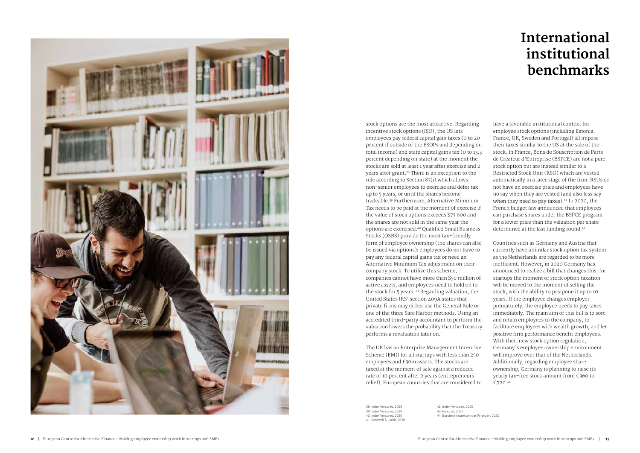

stock options are the most attractive. Regarding incentive stock options (ISO), the US lets employees pay federal capital gain taxes (0 to 20 percent if outside of the ESOPs and depending on total income) and state capital gains tax (0 to 13.3 percent depending on state) at the moment the stocks are sold at least 1 year after exercise and 2 years after grant.<sup>38</sup> There is an exception to the rule according to Section 83(i) which allows non-senior employees to exercise and defer tax up to 5 years, or until the shares become tradeable.<sup>39</sup> Furthermore, Alternative Minimum Tax needs to be paid at the moment of exercise if the value of stock options exceeds \$73 600 and the shares are not sold in the same year the options are exercised.40 Qualified Small Business Stocks (QSBS) provide the most tax-friendly form of employee ownership (the shares can also be issued via options): employees do not have to pay any federal capital gains tax or need an Alternative Minimum Tax adjustment on their company stock. To utilize this scheme, companies cannot have more than \$50 million of active assets, and employees need to hold on to the stock for 5 years. <sup>41</sup> Regarding valuation, the United States IRS' section 409A states that private firms may either use the General Rule or one of the three Safe Harbor methods. Using an accredited third-party accountant to perform the valuation lowers the probability that the Treasury performs a revaluation later on.

The UK has an Enterprise Management Incentive Scheme (EMI) for all startups with less than 250 employees and £30m assets. The stocks are taxed at the moment of sale against a reduced rate of 10 percent after 2 years (entrepreneurs' relief). European countries that are considered to have a favorable institutional context for employee stock options (including Estonia, France, UK, Sweden and Portugal) all impose their taxes similar to the US at the sale of the stock. In France, Bons de Souscription de Parts de Createur d'Entreprise (BSPCE) are not a pure stock option but are instead similar to a Restricted Stock Unit (RSU) which are vested automatically in a later stage of the firm. RSUs do not have an exercise price and employees have no say when they are vested (and also less say when they need to pay taxes).<sup>42</sup> In 2020, the French budget law announced that employees can purchase shares under the BSPCE program for a lower price than the valuation per share determined at the last funding round.<sup>43</sup>

Countries such as Germany and Austria that currently have a similar stock option tax system as the Netherlands are regarded to be more inefficient. However, in 2020 Germany has announced to realize a bill that changes this: for startups the moment of stock option taxation will be moved to the moment of selling the stock, with the ability to postpone it up to 10 years. If the employee changes employer prematurely, the employee needs to pay taxes immediately. The main aim of this bill is to sort and retain employees to the company, to facilitate employees with wealth growth, and let positive firm performance benefit employees. With their new stock option regulation, Germany's employee ownership environment will improve over that of the Netherlands. Additionally, regarding employee share ownership, Germany is planning to raise its yearly tax-free stock amount from €360 to €720.44

38. Index Ventures, 2020 39. Index Ventures, 2020 40. Index Ventures, 2020 41. Bardwell & Huish, 2020 42. Index Ventures, 2020 43. Fouquet, 2020 44. Bundesministerium der Finanzen, 2020

## **International institutional benchmarks**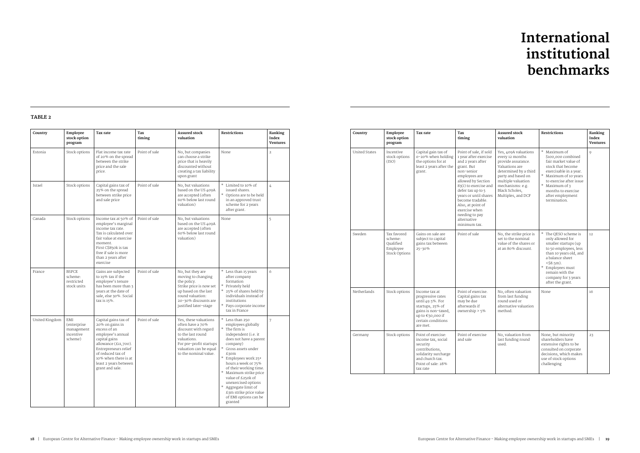| Country        | Employee<br><b>Assured stock</b><br>Tax rate<br>Tax<br>stock option<br>timing<br>valuation<br>program |                                                                                                                                                                                                                                        |               | <b>Restrictions</b>                                                                                                                                                                 | Ranking<br>Index<br><b>Ventures</b>                                                                                                                                                                                                                                                                                                                                                               |                |
|----------------|-------------------------------------------------------------------------------------------------------|----------------------------------------------------------------------------------------------------------------------------------------------------------------------------------------------------------------------------------------|---------------|-------------------------------------------------------------------------------------------------------------------------------------------------------------------------------------|---------------------------------------------------------------------------------------------------------------------------------------------------------------------------------------------------------------------------------------------------------------------------------------------------------------------------------------------------------------------------------------------------|----------------|
| Estonia        | Stock options                                                                                         | Flat income tax rate<br>of 20% on the spread<br>between the strike<br>price and the sale<br>price.                                                                                                                                     | Point of sale | No, but companies<br>can choose a strike<br>price that is heavily<br>discounted without<br>creating a tax liability<br>upon grant                                                   | None                                                                                                                                                                                                                                                                                                                                                                                              | $\overline{2}$ |
| Israel         | Stock options                                                                                         | Capital gains tax of<br>25% on the spread<br>between strike price<br>and sale price                                                                                                                                                    | Point of sale | No, but valuations<br>based on the US 409A<br>are accepted (often<br>60% below last round<br>valuation)                                                                             | * Limited to 10% of<br>issued shares.<br>Options are to be held<br>in an approved trust<br>scheme for 2 years<br>after grant.                                                                                                                                                                                                                                                                     | $\overline{4}$ |
| Canada         | Stock options                                                                                         | Income tax at 50% of<br>employee's marginal<br>income tax rate.<br>Tax is calculated over<br>fair value at exercise<br>moment.<br>First C\$850k is tax<br>free if sale is more<br>than 2 years after<br>exercise                       | Point of sale | No, but valuations<br>based on the US 409A<br>are accepted (often<br>60% below last round<br>valuation)                                                                             | None                                                                                                                                                                                                                                                                                                                                                                                              | 5              |
| France         | <b>BSPCE</b><br>scheme:<br>restricted<br>stock units                                                  | Gains are subjected<br>to 19% tax if the<br>employee's tenure<br>has been more than 3<br>years at the date of<br>sale, else 30%. Social<br>tax is 15%.                                                                                 | Point of sale | No, but they are<br>moving to changing<br>the policy.<br>Strike price is now set<br>up based on the last<br>round valuation:<br>20-30% discounts are<br>justified later-stage       | Less than 15 years<br>after company<br>formation<br>$*$<br>Privately held<br>25% of shares held by<br>individuals instead of<br>institutions<br>Pays corporate income<br>tax in France                                                                                                                                                                                                            | 6              |
| United Kingdom | EMI<br>(enterprise<br>management<br>incentive<br>scheme)                                              | Capital gains tax of<br>20% on gains in<br>excess of an<br>employee's annual<br>capital gains<br>allowance (£11,700).<br>Entrepreneurs relief<br>of reduced tax of<br>10% when there is at<br>least 2 years between<br>grant and sale. | Point of sale | Yes, these valuations<br>often have a 70%<br>discount with regard<br>to the last round<br>valuations.<br>For pre-profit startups<br>valuation can be equal<br>to the nominal value. | $\ast$<br>Less than 250<br>employees globally<br>The firm is<br>independent (i.e. it<br>does not have a parent<br>company)<br>$\ast$<br>Gross assets under<br>£30m<br>Employees work 25+<br>hours a week or 75%<br>of their working time.<br>Maximum strike price<br>value of £250k of<br>unexercised options<br>Aggregate limit of<br>£3m strike price value<br>of EMI options can be<br>granted | 7              |

| Country              | Employee<br>stock option<br>program                                     | Tax rate                                                                                                                                                | Tax<br>timing                                                                                                                                                                                                                                                                                                             | <b>Assured stock</b><br>valuation                                                                                                                                                                                | <b>Restrictions</b>                                                                                                                                                                                                                               | Ranking<br>Index<br><b>Ventures</b> |
|----------------------|-------------------------------------------------------------------------|---------------------------------------------------------------------------------------------------------------------------------------------------------|---------------------------------------------------------------------------------------------------------------------------------------------------------------------------------------------------------------------------------------------------------------------------------------------------------------------------|------------------------------------------------------------------------------------------------------------------------------------------------------------------------------------------------------------------|---------------------------------------------------------------------------------------------------------------------------------------------------------------------------------------------------------------------------------------------------|-------------------------------------|
| <b>United States</b> | Incentive<br>stock options<br>(ISO)                                     | Capital gain tax of<br>0-20% when holding<br>the options for at<br>least 2 years after the<br>grant.                                                    | Point of sale, if sold<br>1 year after exercise<br>and 2 years after<br>grant, But<br>non-senior<br>employees are<br>allowed by Section<br>83(i) to exercise and<br>defer tax up to 5<br>years or until shares<br>become tradable.<br>Also, at point of<br>exercise when<br>needing to pay<br>alternative<br>minimum tax. | Yes, 409A valuations<br>every 12 months<br>provide assurance.<br>Valuations are<br>determined by a third<br>party and based on<br>multiple valuation<br>mechanisms: e.g.<br>Black Scholes,<br>Multiples, and DCF | * Maximum of<br>\$100,000 combined<br>fair market value of<br>stock that become<br>exercisable in a year.<br>$\ast$<br>Maximum of 10 years<br>to exercise after issue<br>* Maximum of 3<br>months to exercise<br>after employment<br>termination. | $\circ$                             |
| Sweden               | Tax favored<br>scheme:<br>Oualified<br>Employee<br><b>Stock Options</b> | Gains on sale are<br>subject to capital<br>gains tax between<br>25-30%                                                                                  | Point of sale                                                                                                                                                                                                                                                                                                             | No, the strike price is<br>set to the nominal<br>value of the shares or<br>at an 80% discount.                                                                                                                   | The OESO scheme is<br>only allowed for<br>smaller startups (up<br>to 50 employees, less<br>than 10 years old, and<br>a balance sheet<br>$<$ \$8.5m).<br>* Employees must<br>remain with the<br>company for 3 years<br>after the grant.            | 12                                  |
| Netherlands          | Stock options                                                           | Income tax at<br>progressive rates<br>until 49.5%. For<br>startups, 25% of<br>gains is non-taxed,<br>up to €50,000 if<br>certain conditions<br>are met. | Point of exercise.<br>Capital gains tax<br>may be due<br>afterwards if<br>ownership $> 5\%$                                                                                                                                                                                                                               | No, often valuation<br>from last funding<br>round used or<br>alternative valuation<br>method.                                                                                                                    | None                                                                                                                                                                                                                                              | 16                                  |
| Germany              | Stock options                                                           | Point of exercise:<br>income tax, social<br>security<br>contributions,<br>solidarity surcharge<br>and church tax.<br>Point of sale: 28%<br>tax rate     | Point of exercise<br>and sale                                                                                                                                                                                                                                                                                             | No, valuation from<br>last funding round<br>used.                                                                                                                                                                | None, but minority<br>shareholders have<br>extensive rights to be<br>consulted on corporate<br>decisions, which makes<br>use of stock options<br>challenging                                                                                      | 23                                  |

### **Table 2**

## **International institutional benchmarks**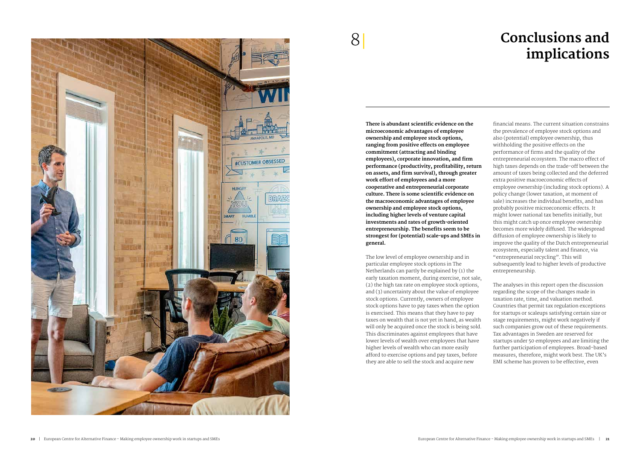## **Conclusions and implications**



## 8|

**There is abundant scientific evidence on the microeconomic advantages of employee ownership and employee stock options, ranging from positive effects on employee commitment (attracting and binding employees), corporate innovation, and firm performance (productivity, profitability, return on assets, and firm survival), through greater work effort of employees and a more cooperative and entrepreneurial corporate culture. There is some scientific evidence on the macroeconomic advantages of employee ownership and employee stock options, including higher levels of venture capital investments and rates of growth-oriented entrepreneurship. The benefits seem to be strongest for (potential) scale-ups and SMEs in general.** 

The low level of employee ownership and in particular employee stock options in The Netherlands can partly be explained by (1) the early taxation moment, during exercise, not sale, (2) the high tax rate on employee stock options, and (3) uncertainty about the value of employee stock options. Currently, owners of employee stock options have to pay taxes when the option is exercised. This means that they have to pay taxes on wealth that is not yet in hand, as wealth will only be acquired once the stock is being sold. This discriminates against employees that have lower levels of wealth over employees that have higher levels of wealth who can more easily afford to exercise options and pay taxes, before they are able to sell the stock and acquire new

financial means. The current situation constrains the prevalence of employee stock options and also (potential) employee ownership, thus withholding the positive effects on the performance of firms and the quality of the entrepreneurial ecosystem. The macro effect of high taxes depends on the trade-off between the amount of taxes being collected and the deferred extra positive macroeconomic effects of employee ownership (including stock options). A policy change (lower taxation, at moment of sale) increases the individual benefits, and has probably positive microeconomic effects. It might lower national tax benefits initially, but this might catch up once employee ownership becomes more widely diffused. The widespread diffusion of employee ownership is likely to improve the quality of the Dutch entrepreneurial ecosystem, especially talent and finance, via "entrepreneurial recycling". This will subsequently lead to higher levels of productive entrepreneurship.

The analyses in this report open the discussion regarding the scope of the changes made in taxation rate, time, and valuation method. Countries that permit tax regulation exceptions for startups or scaleups satisfying certain size or stage requirements, might work negatively if such companies grow out of these requirements. Tax advantages in Sweden are reserved for startups under 50 employees and are limiting the further participation of employees. Broad-based measures, therefore, might work best. The UK's EMI scheme has proven to be effective, even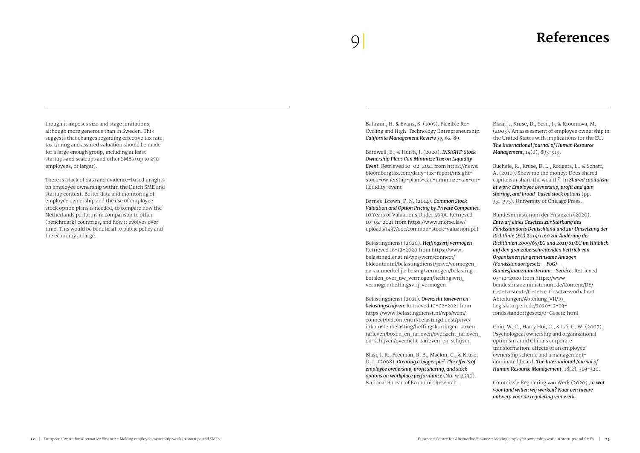## 9 **References** |

though it imposes size and stage limitations, although more generous than in Sweden. This suggests that changes regarding effective tax rate, tax timing and assured valuation should be made for a large enough group, including at least startups and scaleups and other SMEs (up to 250 employees, or larger).

There is a lack of data and evidence-based insights on employee ownership within the Dutch SME and startup context. Better data and monitoring of employee ownership and the use of employee stock option plans is needed, to compare how the Netherlands performs in comparison to other (benchmark) countries, and how it evolves over time. This would be beneficial to public policy and the economy at large.

### Bahrami, H. & Evans, S. (1995). Flexible Re-Cycling and High-Technology Entrepreneurship. *California Management Review 37*, 62–89.

Bardwell, E., & Huish, J. (2020). *INSIGHT: Stock Ownership Plans Can Minimize Tax on Liquidity Event*. Retrieved 10-02-2021 from https://news. bloombergtax.com/daily-tax-report/insightstock-ownership-plans-can-minimize-tax-onliquidity-event

Barnes-Brown, P. N. (2014). *Common Stock Valuation and Option Pricing by Private Companies.* 10 Years of Valuations Under 409A. Retrieved 10-02-2021 from https://www.morse.law/ uploads/1437/doc/common-stock-valuation.pdf

Belastingdienst (2020). *Heffingsvrij vermogen*. Retrieved 16-12-2020 from https://www. belastingdienst.nl/wps/wcm/connect/ bldcontentnl/belastingdienst/prive/vermogen\_ en\_aanmerkelijk\_belang/vermogen/belasting\_ betalen\_over\_uw\_vermogen/heffingsvrij\_ vermogen/heffingsvrij\_vermogen

Belastingdienst (2021). *Overzicht tarieven en belastingschijven.* Retrieved 10-02-2021 from https://www.belastingdienst.nl/wps/wcm/ connect/bldcontentnl/belastingdienst/prive/ inkomstenbelasting/heffingskortingen\_boxen\_ tarieven/boxen\_en\_tarieven/overzicht\_tarieven\_ en\_schijven/overzicht\_tarieven\_en\_schijven

Blasi, J. R., Freeman, R. B., Mackin, C., & Kruse, D. L. (2008). *Creating a bigger pie? The effects of employee ownership, profit sharing, and stock options on workplace performance* (No. w14230). National Bureau of Economic Research.

Blasi, J., Kruse, D., Sesil, J., & Kroumova, M. (2003). An assessment of employee ownership in the United States with implications for the EU. *The International Journal of Human Resource Management*, 14(6), 893-919.

Buchele, R., Kruse, D. L., Rodgers, L., & Scharf, A. (2010). Show me the money: Does shared capitalism share the wealth?. In *Shared capitalism at work: Employee ownership, profit and gain sharing, and broad-based stock options* (pp. 351-375). University of Chicago Press.

Bundesministerium der Finanzen (2020). *Entwurf eines Gesetzes zur Stärkung des Fondsstandorts Deutschland und zur Umsetzung der Richtlinie (EU) 2019/1160 zur Änderung der Richtlinien 2009/65/EG und 2011/61/EU im Hinblick auf den grenzüberschreitenden Vertrieb von Organismen für gemeinsame Anlagen (Fondsstandortgesetz – FoG) - Bundesfinanzministerium - Service*. Retrieved 03-12-2020 from https://www. bundesfinanzministerium.de/Content/DE/ Gesetzestexte/Gesetze\_Gesetzesvorhaben/ Abteilungen/Abteilung\_VII/19\_ Legislaturperiode/2020-12-03 fondsstandortgesetz/0-Gesetz.html

Chiu, W. C., Harry Hui, C., & Lai, G. W. (2007). Psychological ownership and organizational optimism amid China's corporate transformation: effects of an employee ownership scheme and a managementdominated board. *The International Journal of Human Resource Management*, 18(2), 303-320.

Commissie Regulering van Werk (2020). I*n wat voor land willen wij werken? Naar een nieuw ontwerp voor de regulering van werk.*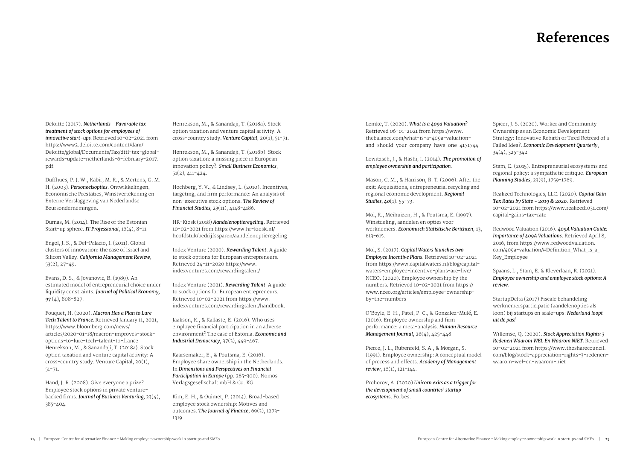## **References**

Deloitte (2017). *Netherlands - Favorable tax treatment of stock options for employees of innovative start-ups.* Retrieved 10-02-2021 from https://www2.deloitte.com/content/dam/ Deloitte/global/Documents/Tax/dttl-tax-globalrewards-update-netherlands-6-february-2017. pdf.

Duffhues, P. J. W., Kabir, M. R., & Mertens, G. M. H. (2003). *Personeelsopties*. Ontwikkelingen, Economische Prestaties, Winstvertekening en Externe Verslaggeving van Nederlandse Beursondernemingen.

Dumas, M. (2014). The Rise of the Estonian Start-up sphere. *IT Professional*, 16(4), 8-11.

Engel, J. S., & Del-Palacio, I. (2011). Global clusters of innovation: the case of Israel and Silicon Valley. *California Management Review*, 53(2), 27-49.

Evans, D. S., & Jovanovic, B. (1989). An estimated model of entrepreneurial choice under liquidity constraints. *Journal of Political Economy, 97* (4), 808-827.

Fouquet, H. (2020). *Macron Has a Plan to Lure Tech Talent to France.* Retrieved January 11, 2021, https://www.bloomberg.com/news/ articles/2020-01-18/macron-improves-stockoptions-to-lure-tech-talent-to-france Henrekson, M., & Sanandaji, T. (2018a). Stock option taxation and venture capital activity: A cross-country study. Venture Capital, 20(1), 51-71.

Hand, J. R. (2008). Give everyone a prize? Employee stock options in private venturebacked firms. *Journal of Business Venturing,* 23(4), 385-404.

Henrekson, M., & Sanandaji, T. (2018a). Stock option taxation and venture capital activity: A cross-country study. *Venture Capital*, 20(1), 51-71.

Henrekson, M., & Sanandaji, T. (2018b). Stock option taxation: a missing piece in European innovation policy?. *Small Business Economics*, 51(2), 411-424.

Hochberg, Y. V., & Lindsey, L. (2010). Incentives, targeting, and firm performance: An analysis of non-executive stock options. *The Review of Financial Studies,* 23(11), 4148-4186.

> Pierce, J. L., Rubenfeld, S. A., & Morgan, S. (1991). Employee ownership: A conceptual model of process and effects. *Academy of Management review*, 16(1), 121-144.

HR-Kiosk (2018) *Aandelenoptieregeling*. Retrieved 10-02-2021 from https://www.hr-kiosk.nl/ hoofdstuk/bedrijfssparen/aandelenoptieregeling

Index Venture (2020). *Rewarding Talent*. A guide to stock options for European entrepreneurs. Retrieved 24-11-2020 https://www. indexventures.com/rewardingtalent/

Index Venture (2021). *Rewarding Talent*. A guide to stock options for European entrepreneurs. Retrieved 10-02-2021 from https://www. indexventures.com/rewardingtalent/handbook.

Jaakson, K., & Kallaste, E. (2016). Who uses employee financial participation in an adverse environment? The case of Estonia. *Economic and Industrial Democracy*, 37(3), 449-467.

Kaarsemaker, E., & Poutsma, E. (2016). Employee share ownership in the Netherlands. In *Dimensions and Perspectives on Financial Participation in Europe* (pp. 285-300). Nomos Verlagsgesellschaft mbH & Co. KG.

Kim, E. H., & Ouimet, P. (2014). Broad-based employee stock ownership: Motives and outcomes. *The Journal of Finance*, 69(3), 1273- 1319.

Lemke, T. (2020). *What Is a 409a Valuation?*  Retrieved 06-01-2021 from https://www. thebalance.com/what-is-a-409a-valuationand-should-your-company-have-one-4171744

Lowitzsch, J., & Hashi, I. (2014). *The promotion of employee ownership and participation.*

Mason, C. M., & Harrison, R. T. (2006). After the exit: Acquisitions, entrepreneurial recycling and regional economic development. *Regional Studies, 40*(1), 55-73.

Mol, R., Meihuizen, H., & Poutsma, E. (1997). Winstdeling, aandelen en opties voor werknemers. *Economisch Statistische Berichten*, 13, 613-615.

Mol, S. (2017). *Capital Waters launches two Employee Incentive Plans*. Retrieved 10-02-2021 from https://www.capitalwaters.nl/blog/capitalwaters-employee-incentive-plans-are-live/ NCEO. (2020). Employee ownership by the numbers. Retrieved 10-02-2021 from https:// www.nceo.org/articles/employee-ownershipby-the-numbers

O'Boyle, E. H., Patel, P. C., & Gonzalez-Mulé, E. (2016). Employee ownership and firm performance: a meta-analysis. *Human Resource Management Journal*, 26(4), 425-448.

Prohorov, A. (2020) *Unicorn exits as a trigger for the development of small countries' startup ecosystem*s. Forbes.

Spicer, J. S. (2020). Worker and Community Ownership as an Economic Development Strategy: Innovative Rebirth or Tired Retread of a Failed Idea?. *Economic Development Quarterly*, 34(4), 325-342.

Stam, E. (2015). Entrepreneurial ecosystems and regional policy: a sympathetic critique. *European Planning Studies*, 23(9), 1759-1769.

Realized Technologies, LLC. (2020). *Capital Gain Tax Rates by State - 2019 & 2020*. Retrieved 10-02-2021 from https://www.realized1031.com/ capital-gains-tax-rate

Redwood Valuation (2016). *409A Valuation Guide: Importance of 409A Valuations*. Retrieved April 8, 2016, from https://www.redwoodvaluation. com/409a-valuation/#Definition\_What\_is\_a\_ Key\_Employee

Spaans, L., Stam, E. & Kleverlaan, R. (2021). *Employee ownership and employee stock options: A review.* 

StartupDelta (2017) Fiscale behandeling werknemersparticipatie (aandelenopties als loon) bij startups en scale-ups: *Nederland loopt uit de pas!*

Willemse, Q. (2020). *Stock Appreciation Rights: 3 Redenen Waarom WEL En Waarom NIET.* Retrieved 10-02-2021 from https://www.thesharecouncil. com/blog/stock-appreciation-rights-3-redenenwaarom-wel-en-waarom-niet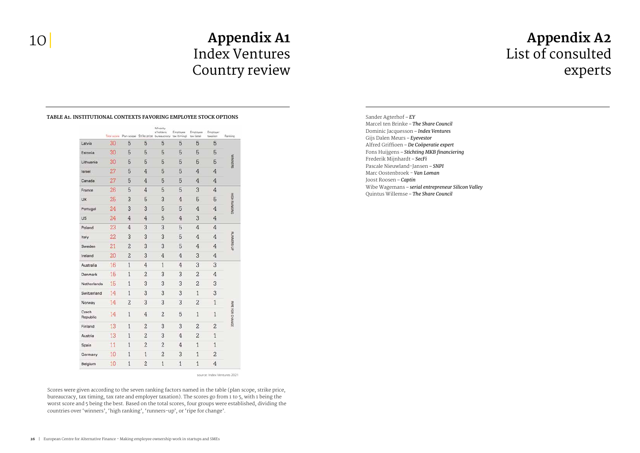## **Appendix A2** List of consulted experts

## **Appendix A1**  Index Ventures Country review

|                   |    | Total score Plan scope Strike price |                | Minority<br>s'holders,<br>bureaucracy | Employee<br>tax (timing) | Employee<br>tax (rate) | Employer<br>taxation | Ranking             |                 |
|-------------------|----|-------------------------------------|----------------|---------------------------------------|--------------------------|------------------------|----------------------|---------------------|-----------------|
| Latvia            | 30 | 5                                   | 5              | 5                                     | 5                        | 5                      | 5                    | <b>WINNINGRS</b>    |                 |
| Estonia           | 30 | 5                                   | 5              | 5                                     | 5                        | 5                      | 5                    |                     |                 |
| Lithuania         | 30 | 5                                   | 5              | 5                                     | 5                        | 5                      | 5                    |                     |                 |
| Israel            | 27 | 5                                   | $\overline{4}$ | 5                                     | 5                        | 4                      | 4                    |                     |                 |
| Canada            | 27 | 5                                   | $\overline{4}$ | 5                                     | 5                        | $\overline{4}$         | 4                    |                     |                 |
| France            | 26 | 5                                   | 4              | 5                                     | 5                        | 3                      | 4                    |                     |                 |
| UK                | 25 | 3                                   | 5              | 3                                     | $\overline{4}$           | 5                      | 5                    | <b>HIGH RANKING</b> |                 |
| Portugal          | 24 | 3                                   | 3              | 5                                     | 5                        | 4                      | 4                    |                     |                 |
| US                | 24 | 4                                   | 4              | 5                                     | 4                        | 3                      | $\overline{4}$       |                     |                 |
| Poland            | 23 | 4                                   | 3              | 3                                     | 5                        | 4                      | 4                    |                     | RUNNERS UP      |
| Italy             | 22 | 3                                   | 3              | 3                                     | 5                        | $\overline{4}$         | 4                    |                     |                 |
| Sweden            | 21 | $\overline{c}$                      | 3              | 3                                     | 5                        | 4                      | 4                    |                     |                 |
| Ireland           | 20 | $\overline{2}$                      | 3              | 4                                     | 4                        | 3                      | 4                    |                     |                 |
| Australia         | 16 | 1                                   | 4              | 1                                     | 4                        | 3                      | 3                    |                     |                 |
| Denmark           | 15 | 1                                   | $\overline{2}$ | 3                                     | 3                        | $\overline{2}$         | 4                    |                     |                 |
| Netherlands       | 15 | 1                                   | 3              | 3                                     | 3                        | $\overline{2}$         | 3                    |                     |                 |
| Switzerland       | 14 | 1                                   | 3              | 3                                     | 3                        | $\mathbf{1}$           | 3                    |                     |                 |
| Norway            | 14 | $\overline{2}$                      | 3              | 3                                     | 3                        | $\overline{c}$         | $\mathbf{1}$         |                     |                 |
| Czech<br>Republic | 14 | $\overline{1}$                      | $\overline{4}$ | $\overline{2}$                        | 5                        | $\overline{1}$         | ĭ                    |                     | RIPE FOR CHANGE |
| Finland           | 13 | 1                                   | $\overline{c}$ | 3                                     | 3                        | $\overline{c}$         | $\overline{c}$       |                     |                 |
| Austria           | 13 | 1                                   | $\overline{c}$ | 3                                     | $\overline{4}$           | $\overline{c}$         | $\mathbf{1}$         |                     |                 |
| Spain             | 11 | 1                                   | $\overline{c}$ | $\overline{c}$                        | 4                        | $\mathbf{1}$           | $\mathbf{1}$         |                     |                 |
| Germany           | 10 | 1                                   | 1              | $\overline{2}$                        | 3                        | 1                      | $\overline{c}$       |                     |                 |
| Belgium           | 10 | $\mathbf{1}$                        | $\overline{c}$ | $\mathbf{1}$                          | $\mathbf{1}$             | $\overline{1}$         | 4                    |                     |                 |

Sander Agterhof – *EY* Marcel ten Brinke – *The Share Council* Dominic Jacquesson – *Index Ventures* Gijs Dalen Meurs – *Eyevestor* Alfred Griffioen – *De Coöperatie expert* Fons Huijgens – *Stichting MKB financiering*  Frederik Mijnhardt – *SecFi* Pascale Nieuwland-Jansen – *SNPI* Marc Oostenbroek - *Van Loman* Joost Roosen – *Captin* Wibe Wagemans – *serial entrepreneur Silicon Valley* Quintus Willemse – *The Share Council*

### **Table A1. Institutional contexts favoring employee stock options**

source: Index Ventures 2021

Scores were given according to the seven ranking factors named in the table (plan scope, strike price, bureaucracy, tax timing, tax rate and employer taxation). The scores go from 1 to 5, with 1 being the worst score and 5 being the best. Based on the total scores, four groups were established, dividing the countries over 'winners', 'high ranking', 'runners-up', or 'ripe for change'.